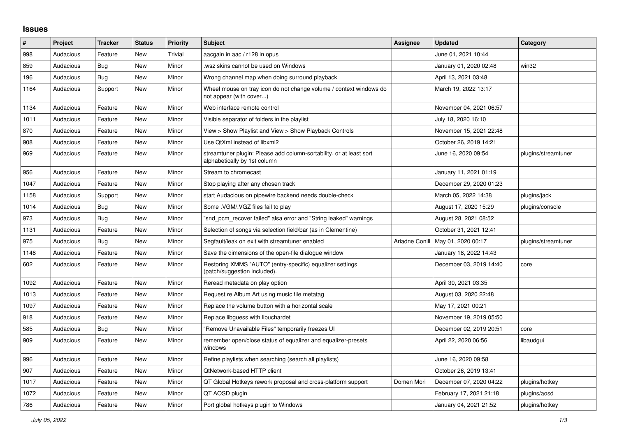## **Issues**

| #    | Project   | <b>Tracker</b> | <b>Status</b> | <b>Priority</b> | <b>Subject</b>                                                                                      | Assignee       | <b>Updated</b>          | Category            |
|------|-----------|----------------|---------------|-----------------|-----------------------------------------------------------------------------------------------------|----------------|-------------------------|---------------------|
| 998  | Audacious | Feature        | <b>New</b>    | Trivial         | aacgain in aac / r128 in opus                                                                       |                | June 01, 2021 10:44     |                     |
| 859  | Audacious | Bug            | New           | Minor           | wsz skins cannot be used on Windows                                                                 |                | January 01, 2020 02:48  | win32               |
| 196  | Audacious | <b>Bug</b>     | New           | Minor           | Wrong channel map when doing surround playback                                                      |                | April 13, 2021 03:48    |                     |
| 1164 | Audacious | Support        | New           | Minor           | Wheel mouse on tray icon do not change volume / context windows do<br>not appear (with cover)       |                | March 19, 2022 13:17    |                     |
| 1134 | Audacious | Feature        | New           | Minor           | Web interface remote control                                                                        |                | November 04, 2021 06:57 |                     |
| 1011 | Audacious | Feature        | New           | Minor           | Visible separator of folders in the playlist                                                        |                | July 18, 2020 16:10     |                     |
| 870  | Audacious | Feature        | New           | Minor           | View > Show Playlist and View > Show Playback Controls                                              |                | November 15, 2021 22:48 |                     |
| 908  | Audacious | Feature        | <b>New</b>    | Minor           | Use QtXml instead of libxml2                                                                        |                | October 26, 2019 14:21  |                     |
| 969  | Audacious | Feature        | <b>New</b>    | Minor           | streamtuner plugin: Please add column-sortability, or at least sort<br>alphabetically by 1st column |                | June 16, 2020 09:54     | plugins/streamtuner |
| 956  | Audacious | Feature        | <b>New</b>    | Minor           | Stream to chromecast                                                                                |                | January 11, 2021 01:19  |                     |
| 1047 | Audacious | Feature        | <b>New</b>    | Minor           | Stop playing after any chosen track                                                                 |                | December 29, 2020 01:23 |                     |
| 1158 | Audacious | Support        | New           | Minor           | start Audacious on pipewire backend needs double-check                                              |                | March 05, 2022 14:38    | plugins/jack        |
| 1014 | Audacious | Bug            | New           | Minor           | Some .VGM/.VGZ files fail to play                                                                   |                | August 17, 2020 15:29   | plugins/console     |
| 973  | Audacious | Bug            | New           | Minor           | "snd pcm recover failed" alsa error and "String leaked" warnings                                    |                | August 28, 2021 08:52   |                     |
| 1131 | Audacious | Feature        | New           | Minor           | Selection of songs via selection field/bar (as in Clementine)                                       |                | October 31, 2021 12:41  |                     |
| 975  | Audacious | Bug            | New           | Minor           | Segfault/leak on exit with streamtuner enabled                                                      | Ariadne Conill | May 01, 2020 00:17      | plugins/streamtuner |
| 1148 | Audacious | Feature        | New           | Minor           | Save the dimensions of the open-file dialogue window                                                |                | January 18, 2022 14:43  |                     |
| 602  | Audacious | Feature        | New           | Minor           | Restoring XMMS "AUTO" (entry-specific) equalizer settings<br>(patch/suggestion included).           |                | December 03, 2019 14:40 | core                |
| 1092 | Audacious | Feature        | New           | Minor           | Reread metadata on play option                                                                      |                | April 30, 2021 03:35    |                     |
| 1013 | Audacious | Feature        | <b>New</b>    | Minor           | Request re Album Art using music file metatag                                                       |                | August 03, 2020 22:48   |                     |
| 1097 | Audacious | Feature        | New           | Minor           | Replace the volume button with a horizontal scale                                                   |                | May 17, 2021 00:21      |                     |
| 918  | Audacious | Feature        | <b>New</b>    | Minor           | Replace libguess with libuchardet                                                                   |                | November 19, 2019 05:50 |                     |
| 585  | Audacious | Bug            | New           | Minor           | "Remove Unavailable Files" temporarily freezes UI                                                   |                | December 02, 2019 20:51 | core                |
| 909  | Audacious | Feature        | New           | Minor           | remember open/close status of equalizer and equalizer-presets<br>windows                            |                | April 22, 2020 06:56    | libaudgui           |
| 996  | Audacious | Feature        | New           | Minor           | Refine playlists when searching (search all playlists)                                              |                | June 16, 2020 09:58     |                     |
| 907  | Audacious | Feature        | New           | Minor           | QtNetwork-based HTTP client                                                                         |                | October 26, 2019 13:41  |                     |
| 1017 | Audacious | Feature        | New           | Minor           | QT Global Hotkeys rework proposal and cross-platform support                                        | Domen Mori     | December 07, 2020 04:22 | plugins/hotkey      |
| 1072 | Audacious | Feature        | New           | Minor           | QT AOSD plugin                                                                                      |                | February 17, 2021 21:18 | plugins/aosd        |
| 786  | Audacious | Feature        | New           | Minor           | Port global hotkeys plugin to Windows                                                               |                | January 04, 2021 21:52  | plugins/hotkey      |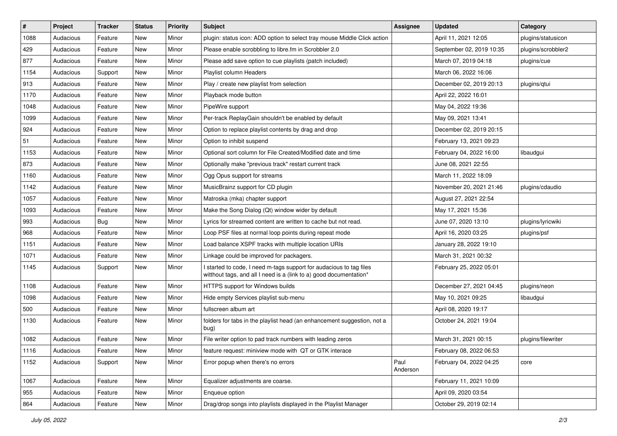| $\vert$ # | Project   | <b>Tracker</b> | <b>Status</b> | <b>Priority</b> | <b>Subject</b>                                                                                                                            | <b>Assignee</b>  | <b>Updated</b>           | Category           |
|-----------|-----------|----------------|---------------|-----------------|-------------------------------------------------------------------------------------------------------------------------------------------|------------------|--------------------------|--------------------|
| 1088      | Audacious | Feature        | New           | Minor           | plugin: status icon: ADD option to select tray mouse Middle Click action                                                                  |                  | April 11, 2021 12:05     | plugins/statusicon |
| 429       | Audacious | Feature        | <b>New</b>    | Minor           | Please enable scrobbling to libre.fm in Scrobbler 2.0                                                                                     |                  | September 02, 2019 10:35 | plugins/scrobbler2 |
| 877       | Audacious | Feature        | New           | Minor           | Please add save option to cue playlists (patch included)                                                                                  |                  | March 07, 2019 04:18     | plugins/cue        |
| 1154      | Audacious | Support        | New           | Minor           | Playlist column Headers                                                                                                                   |                  | March 06, 2022 16:06     |                    |
| 913       | Audacious | Feature        | <b>New</b>    | Minor           | Play / create new playlist from selection                                                                                                 |                  | December 02, 2019 20:13  | plugins/qtui       |
| 1170      | Audacious | Feature        | New           | Minor           | Playback mode button                                                                                                                      |                  | April 22, 2022 16:01     |                    |
| 1048      | Audacious | Feature        | New           | Minor           | PipeWire support                                                                                                                          |                  | May 04, 2022 19:36       |                    |
| 1099      | Audacious | Feature        | New           | Minor           | Per-track ReplayGain shouldn't be enabled by default                                                                                      |                  | May 09, 2021 13:41       |                    |
| 924       | Audacious | Feature        | New           | Minor           | Option to replace playlist contents by drag and drop                                                                                      |                  | December 02, 2019 20:15  |                    |
| 51        | Audacious | Feature        | New           | Minor           | Option to inhibit suspend                                                                                                                 |                  | February 13, 2021 09:23  |                    |
| 1153      | Audacious | Feature        | New           | Minor           | Optional sort column for File Created/Modified date and time                                                                              |                  | February 04, 2022 16:00  | libaudgui          |
| 873       | Audacious | Feature        | New           | Minor           | Optionally make "previous track" restart current track                                                                                    |                  | June 08, 2021 22:55      |                    |
| 1160      | Audacious | Feature        | New           | Minor           | Ogg Opus support for streams                                                                                                              |                  | March 11, 2022 18:09     |                    |
| 1142      | Audacious | Feature        | New           | Minor           | MusicBrainz support for CD plugin                                                                                                         |                  | November 20, 2021 21:46  | plugins/cdaudio    |
| 1057      | Audacious | Feature        | <b>New</b>    | Minor           | Matroska (mka) chapter support                                                                                                            |                  | August 27, 2021 22:54    |                    |
| 1093      | Audacious | Feature        | New           | Minor           | Make the Song Dialog (Qt) window wider by default                                                                                         |                  | May 17, 2021 15:36       |                    |
| 993       | Audacious | Bug            | New           | Minor           | Lyrics for streamed content are written to cache but not read.                                                                            |                  | June 07, 2020 13:10      | plugins/lyricwiki  |
| 968       | Audacious | Feature        | New           | Minor           | Loop PSF files at normal loop points during repeat mode                                                                                   |                  | April 16, 2020 03:25     | plugins/psf        |
| 1151      | Audacious | Feature        | New           | Minor           | Load balance XSPF tracks with multiple location URIs                                                                                      |                  | January 28, 2022 19:10   |                    |
| 1071      | Audacious | Feature        | New           | Minor           | Linkage could be improved for packagers.                                                                                                  |                  | March 31, 2021 00:32     |                    |
| 1145      | Audacious | Support        | New           | Minor           | I started to code, I need m-tags support for audacious to tag files<br>witthout tags, and all I need is a (link to a) good documentation* |                  | February 25, 2022 05:01  |                    |
| 1108      | Audacious | Feature        | <b>New</b>    | Minor           | HTTPS support for Windows builds                                                                                                          |                  | December 27, 2021 04:45  | plugins/neon       |
| 1098      | Audacious | Feature        | New           | Minor           | Hide empty Services playlist sub-menu                                                                                                     |                  | May 10, 2021 09:25       | libaudgui          |
| 500       | Audacious | Feature        | New           | Minor           | fullscreen album art                                                                                                                      |                  | April 08, 2020 19:17     |                    |
| 1130      | Audacious | Feature        | New           | Minor           | folders for tabs in the playlist head (an enhancement suggestion, not a<br>bug)                                                           |                  | October 24, 2021 19:04   |                    |
| 1082      | Audacious | Feature        | <b>New</b>    | Minor           | File writer option to pad track numbers with leading zeros                                                                                |                  | March 31, 2021 00:15     | plugins/filewriter |
| 1116      | Audacious | Feature        | New           | Minor           | feature request: miniview mode with QT or GTK interace                                                                                    |                  | February 08, 2022 06:53  |                    |
| 1152      | Audacious | Support        | New           | Minor           | Error popup when there's no errors                                                                                                        | Paul<br>Anderson | February 04, 2022 04:25  | core               |
| 1067      | Audacious | Feature        | New           | Minor           | Equalizer adjustments are coarse.                                                                                                         |                  | February 11, 2021 10:09  |                    |
| 955       | Audacious | Feature        | New           | Minor           | Enqueue option                                                                                                                            |                  | April 09, 2020 03:54     |                    |
| 864       | Audacious | Feature        | New           | Minor           | Drag/drop songs into playlists displayed in the Playlist Manager                                                                          |                  | October 29, 2019 02:14   |                    |